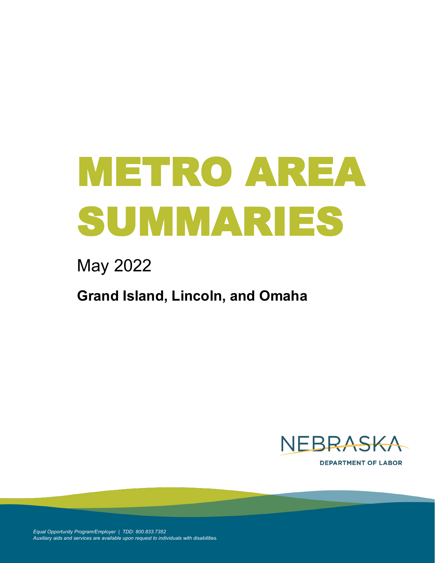# METRO AREA SUMMARIES

# May 2022

## **Grand Island, Lincoln, and Omaha**



**DEPARTMENT OF LABOR** 

*Equal Opportunity Program/Employer | TDD: 800.833.7352 Auxiliary aids and services are available upon request to individuals with disabilities.*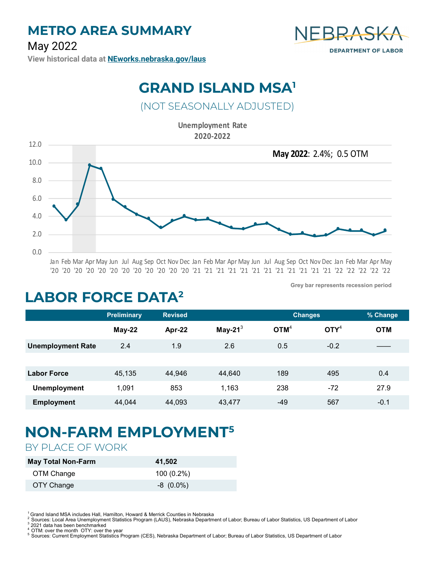

**View [historical data](https://neworks.nebraska.gov/gsipub/index.asp?docid=433) at [NEworks.nebraska.gov/laus](https://neworks.nebraska.gov/gsipub/index.asp?docid=433)**

#### **GRAND ISLAND MSA<sup>1</sup>**

#### (NOT SEASONALLY ADJUSTED)

**Unemployment Rate 2020-2022** 



'20 '20 '20 '20 '20 '20 '20 '20 '20 '20 '20 '20 '21 '21 '21 '21 '21 '21 '21 '21 '21 '21 '21 '21 '22 '22 '22 '22 '22

**Grey bar represents recession period**

## **LABOR FORCE DATA<sup>2</sup>**

|                          | <b>Preliminary</b> | <b>Revised</b> |            | <b>Changes</b>   |                                      | % Change   |
|--------------------------|--------------------|----------------|------------|------------------|--------------------------------------|------------|
|                          | $May-22$           | Apr-22         | May-21 $3$ | OTM <sup>4</sup> | $\mathbf{O} \mathbf{I} \mathbf{Y}^4$ | <b>OTM</b> |
| <b>Unemployment Rate</b> | 2.4                | 1.9            | 2.6        | 0.5              | $-0.2$                               |            |
|                          |                    |                |            |                  |                                      |            |
| <b>Labor Force</b>       | 45,135             | 44,946         | 44,640     | 189              | 495                                  | 0.4        |
| <b>Unemployment</b>      | 1,091              | 853            | 1,163      | 238              | -72                                  | 27.9       |
| <b>Employment</b>        | 44,044             | 44,093         | 43,477     | -49              | 567                                  | $-0.1$     |

# **NON-FARM EMPLOYMENT<sup>5</sup>**

#### BY PLACE OF WORK

| <b>May Total Non-Farm</b> | 41,502       |
|---------------------------|--------------|
| OTM Change                | $100(0.2\%)$ |
| OTY Change                | $-8(0.0\%)$  |

<sup>1</sup> Grand Island MSA includes Hall, Hamilton, Howard & Merrick Counties in Nebraska

2021 data has been benchmarked

<sup>5</sup>Sources: Current Employment Statistics Program (CES), Nebraska Department of Labor; Bureau of Labor Statistics, US Department of Labor

<sup>2</sup> Sources: Local Area Unemployment Statistics Program (LAUS), Nebraska Department of Labor; Bureau of Labor Statistics, US Department of Labor<br><sup>3</sup> 2021 date has been benebmarked

OTM: over the month OTY: over the year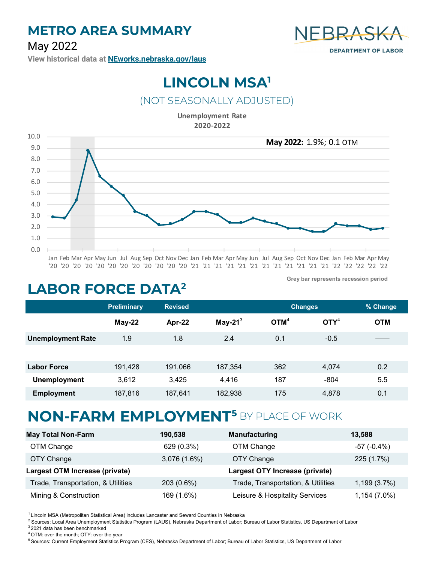#### **METRO AREA SUMMARY**

#### May 2022



**View [historical data](https://neworks.nebraska.gov/gsipub/index.asp?docid=433) at [NEworks.nebraska.gov/laus](https://neworks.nebraska.gov/gsipub/index.asp?docid=433)**

## **LINCOLN MSA<sup>1</sup>**

#### (NOT SEASONALLY ADJUSTED)

**Unemployment Rate 2020-2022** 



**Grey bar represents recession period**

#### **LABOR FORCE DATA<sup>2</sup>**

|                          | <b>Preliminary</b> | <b>Revised</b> |            | <b>Changes</b>   |                           | % Change   |
|--------------------------|--------------------|----------------|------------|------------------|---------------------------|------------|
|                          | $May-22$           | Apr-22         | May-21 $3$ | OTM <sup>4</sup> | $\mathbf{O}\mathbf{TY}^4$ | <b>OTM</b> |
| <b>Unemployment Rate</b> | 1.9                | 1.8            | 2.4        | 0.1              | $-0.5$                    |            |
|                          |                    |                |            |                  |                           |            |
| <b>Labor Force</b>       | 191,428            | 191,066        | 187,354    | 362              | 4,074                     | 0.2        |
| <b>Unemployment</b>      | 3,612              | 3,425          | 4,416      | 187              | $-804$                    | 5.5        |
| <b>Employment</b>        | 187,816            | 187,641        | 182,938    | 175              | 4,878                     | 0.1        |

#### **NON-FARM EMPLOYMENT<sup>5</sup>**BY PLACE OF WORK

| <b>May Total Non-Farm</b>          | 190,538     | Manufacturing                      | 13,588             |
|------------------------------------|-------------|------------------------------------|--------------------|
| OTM Change                         | 629 (0.3%)  | OTM Change                         | $-57$ ( $-0.4\%$ ) |
| OTY Change                         | 3,076(1.6%) | OTY Change                         | 225 (1.7%)         |
| Largest OTM Increase (private)     |             | Largest OTY Increase (private)     |                    |
| Trade, Transportation, & Utilities | 203 (0.6%)  | Trade, Transportation, & Utilities | 1,199(3.7%)        |
| Mining & Construction              | 169 (1.6%)  | Leisure & Hospitality Services     | 1,154 (7.0%)       |

 $1$  Lincoln MSA (Metropolitan Statistical Area) includes Lancaster and Seward Counties in Nebraska

<sup>2</sup> Sources: Local Area Unemployment Statistics Program (LAUS), Nebraska Department of Labor; Bureau of Labor Statistics, US Department of Labor <sup>3</sup>2021 data has been benchmarked

<sup>4</sup>OTM: over the month; OTY: over the year

<sup>5</sup> Sources: Current Employment Statistics Program (CES), Nebraska Department of Labor; Bureau of Labor Statistics, US Department of Labor